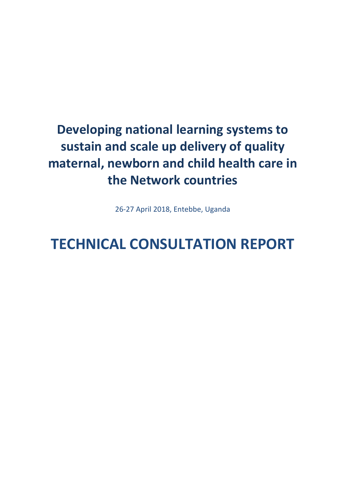# **Developing national learning systems to sustain and scale up delivery of quality maternal, newborn and child health care in the Network countries**

26-27 April 2018, Entebbe, Uganda

# **TECHNICAL CONSULTATION REPORT**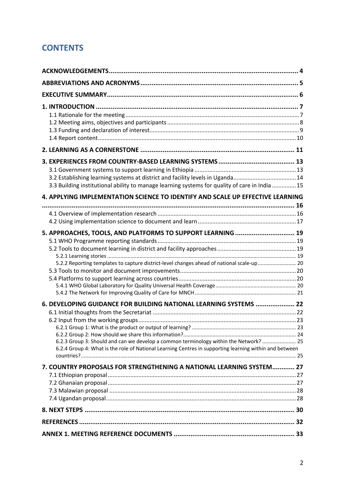# **CONTENTS**

| 3.3 Building institutional ability to manage learning systems for quality of care in India  15<br>4. APPLYING IMPLEMENTATION SCIENCE TO IDENTIFY AND SCALE UP EFFECTIVE LEARNING                                              |  |
|-------------------------------------------------------------------------------------------------------------------------------------------------------------------------------------------------------------------------------|--|
|                                                                                                                                                                                                                               |  |
|                                                                                                                                                                                                                               |  |
| 5. APPROACHES, TOOLS, AND PLATFORMS TO SUPPORT LEARNING  19<br>5.2.2 Reporting templates to capture district-level changes ahead of national scale-up 20<br>6. DEVELOPING GUIDANCE FOR BUILDING NATIONAL LEARNING SYSTEMS  22 |  |
| 6.2.3 Group 3: Should and can we develop a common terminology within the Network?  25<br>6.2.4 Group 4: What is the role of National Learning Centres in supporting learning within and between                               |  |
| 7. COUNTRY PROPOSALS FOR STRENGTHENING A NATIONAL LEARNING SYSTEM 27                                                                                                                                                          |  |
|                                                                                                                                                                                                                               |  |
|                                                                                                                                                                                                                               |  |
|                                                                                                                                                                                                                               |  |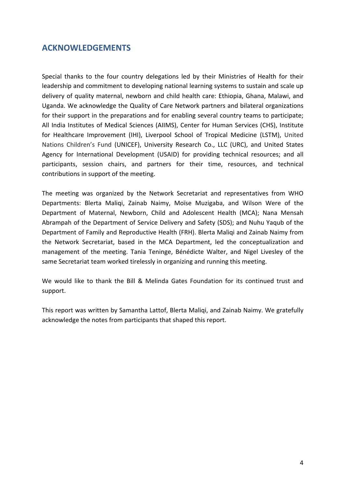# **ACKNOWLEDGEMENTS**

Special thanks to the four country delegations led by their Ministries of Health for their leadership and commitment to developing national learning systems to sustain and scale up delivery of quality maternal, newborn and child health care: Ethiopia, Ghana, Malawi, and Uganda. We acknowledge the Quality of Care Network partners and bilateral organizations for their support in the preparations and for enabling several country teams to participate; All India Institutes of Medical Sciences (AIIMS), Center for Human Services (CHS), Institute for Healthcare Improvement (IHI), Liverpool School of Tropical Medicine (LSTM), United Nations Children's Fund (UNICEF), University Research Co., LLC (URC), and United States Agency for International Development (USAID) for providing technical resources; and all participants, session chairs, and partners for their time, resources, and technical contributions in support of the meeting.

The meeting was organized by the Network Secretariat and representatives from WHO Departments: Blerta Maliqi, Zainab Naimy, Moïse Muzigaba, and Wilson Were of the Department of Maternal, Newborn, Child and Adolescent Health (MCA); Nana Mensah Abrampah of the Department of Service Delivery and Safety (SDS); and Nuhu Yaqub of the Department of Family and Reproductive Health (FRH). Blerta Maliqi and Zainab Naimy from the Network Secretariat, based in the MCA Department, led the conceptualization and management of the meeting. Tania Teninge, Bénédicte Walter, and Nigel Livesley of the same Secretariat team worked tirelessly in organizing and running this meeting.

We would like to thank the Bill & Melinda Gates Foundation for its continued trust and support.

This report was written by Samantha Lattof, Blerta Maliqi, and Zainab Naimy. We gratefully acknowledge the notes from participants that shaped this report.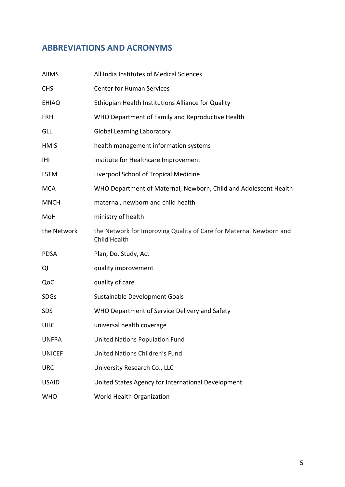# **ABBREVIATIONS AND ACRONYMS**

| <b>AIIMS</b>  | All India Institutes of Medical Sciences                                           |
|---------------|------------------------------------------------------------------------------------|
| <b>CHS</b>    | <b>Center for Human Services</b>                                                   |
| <b>EHIAQ</b>  | Ethiopian Health Institutions Alliance for Quality                                 |
| <b>FRH</b>    | WHO Department of Family and Reproductive Health                                   |
| GLL           | <b>Global Learning Laboratory</b>                                                  |
| <b>HMIS</b>   | health management information systems                                              |
| IHI           | Institute for Healthcare Improvement                                               |
| <b>LSTM</b>   | Liverpool School of Tropical Medicine                                              |
| <b>MCA</b>    | WHO Department of Maternal, Newborn, Child and Adolescent Health                   |
| <b>MNCH</b>   | maternal, newborn and child health                                                 |
| MoH           | ministry of health                                                                 |
| the Network   | the Network for Improving Quality of Care for Maternal Newborn and<br>Child Health |
| <b>PDSA</b>   | Plan, Do, Study, Act                                                               |
| QI            | quality improvement                                                                |
| QoC           | quality of care                                                                    |
| <b>SDGs</b>   | Sustainable Development Goals                                                      |
| SDS           | WHO Department of Service Delivery and Safety                                      |
| <b>UHC</b>    | universal health coverage                                                          |
| <b>UNFPA</b>  | <b>United Nations Population Fund</b>                                              |
| <b>UNICEF</b> | United Nations Children's Fund                                                     |
| <b>URC</b>    | University Research Co., LLC                                                       |
| <b>USAID</b>  | United States Agency for International Development                                 |
| <b>WHO</b>    | World Health Organization                                                          |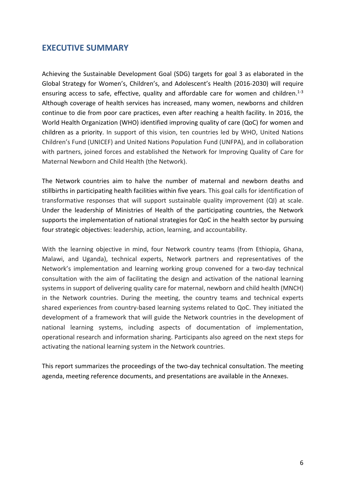# **EXECUTIVE SUMMARY**

Achieving the Sustainable Development Goal (SDG) targets for goal 3 as elaborated in the Global Strategy for Women's, Children's, and Adolescent's Health (2016-2030) will require ensuring access to safe, effective, quality and affordable care for women and children.<sup>1-3</sup> Although coverage of health services has increased, many women, newborns and children continue to die from poor care practices, even after reaching a health facility. In 2016, the World Health Organization (WHO) identified improving quality of care (QoC) for women and children as a priority. In support of this vision, ten countries led by WHO, United Nations Children's Fund (UNICEF) and United Nations Population Fund (UNFPA), and in collaboration with partners, joined forces and established the Network for Improving Quality of Care for Maternal Newborn and Child Health (the Network).

The Network countries aim to halve the number of maternal and newborn deaths and stillbirths in participating health facilities within five years. This goal calls for identification of transformative responses that will support sustainable quality improvement (QI) at scale. Under the leadership of Ministries of Health of the participating countries, the Network supports the implementation of national strategies for QoC in the health sector by pursuing four strategic objectives: leadership, action, learning, and accountability.

With the learning objective in mind, four Network country teams (from Ethiopia, Ghana, Malawi, and Uganda), technical experts, Network partners and representatives of the Network's implementation and learning working group convened for a two-day technical consultation with the aim of facilitating the design and activation of the national learning systems in support of delivering quality care for maternal, newborn and child health (MNCH) in the Network countries. During the meeting, the country teams and technical experts shared experiences from country-based learning systems related to QoC. They initiated the development of a framework that will guide the Network countries in the development of national learning systems, including aspects of documentation of implementation, operational research and information sharing. Participants also agreed on the next steps for activating the national learning system in the Network countries.

This report summarizes the proceedings of the two-day technical consultation. The meeting agenda, meeting reference documents, and presentations are available in the Annexes.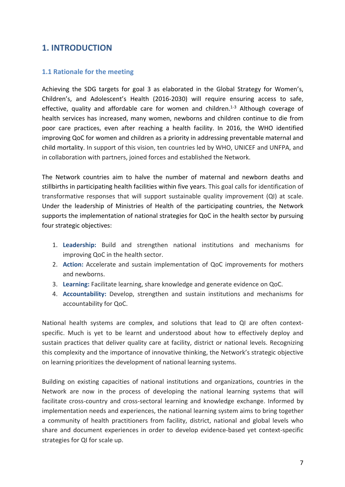# **1. INTRODUCTION**

# **1.1 Rationale for the meeting**

Achieving the SDG targets for goal 3 as elaborated in the Global Strategy for Women's, Children's, and Adolescent's Health (2016-2030) will require ensuring access to safe, effective, quality and affordable care for women and children.<sup>1-3</sup> Although coverage of health services has increased, many women, newborns and children continue to die from poor care practices, even after reaching a health facility. In 2016, the WHO identified improving QoC for women and children as a priority in addressing preventable maternal and child mortality. In support of this vision, ten countries led by WHO, UNICEF and UNFPA, and in collaboration with partners, joined forces and established the Network.

The Network countries aim to halve the number of maternal and newborn deaths and stillbirths in participating health facilities within five years. This goal calls for identification of transformative responses that will support sustainable quality improvement (QI) at scale. Under the leadership of Ministries of Health of the participating countries, the Network supports the implementation of national strategies for QoC in the health sector by pursuing four strategic objectives:

- 1. **Leadership:** Build and strengthen national institutions and mechanisms for improving QoC in the health sector.
- 2. **Action:** Accelerate and sustain implementation of QoC improvements for mothers and newborns.
- 3. **Learning:** Facilitate learning, share knowledge and generate evidence on QoC.
- 4. **Accountability:** Develop, strengthen and sustain institutions and mechanisms for accountability for QoC.

National health systems are complex, and solutions that lead to QI are often contextspecific. Much is yet to be learnt and understood about how to effectively deploy and sustain practices that deliver quality care at facility, district or national levels. Recognizing this complexity and the importance of innovative thinking, the Network's strategic objective on learning prioritizes the development of national learning systems.

Building on existing capacities of national institutions and organizations, countries in the Network are now in the process of developing the national learning systems that will facilitate cross-country and cross-sectoral learning and knowledge exchange. Informed by implementation needs and experiences, the national learning system aims to bring together a community of health practitioners from facility, district, national and global levels who share and document experiences in order to develop evidence-based yet context-specific strategies for QI for scale up.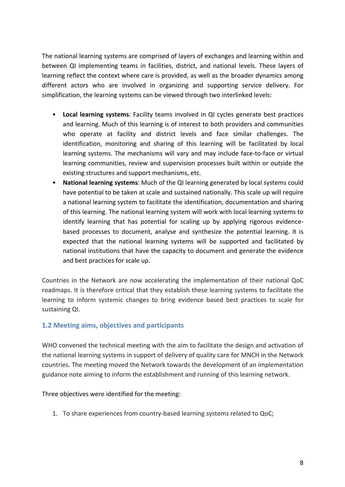The national learning systems are comprised of layers of exchanges and learning within and between QI implementing teams in facilities, district, and national levels. These layers of learning reflect the context where care is provided, as well as the broader dynamics among different actors who are involved in organizing and supporting service delivery. For simplification, the learning systems can be viewed through two interlinked levels:

- **Local learning systems**: Facility teams involved in QI cycles generate best practices and learning. Much of this learning is of interest to both providers and communities who operate at facility and district levels and face similar challenges. The identification, monitoring and sharing of this learning will be facilitated by local learning systems. The mechanisms will vary and may include face-to-face or virtual learning communities, review and supervision processes built within or outside the existing structures and support mechanisms, etc.
- **National learning systems**: Much of the QI learning generated by local systems could have potential to be taken at scale and sustained nationally. This scale up will require a national learning system to facilitate the identification, documentation and sharing of this learning. The national learning system will work with local learning systems to identify learning that has potential for scaling up by applying rigorous evidencebased processes to document, analyse and synthesize the potential learning. It is expected that the national learning systems will be supported and facilitated by national institutions that have the capacity to document and generate the evidence and best practices for scale up.

Countries in the Network are now accelerating the implementation of their national QoC roadmaps. It is therefore critical that they establish these learning systems to facilitate the learning to inform systemic changes to bring evidence based best practices to scale for sustaining QI.

# **1.2 Meeting aims, objectives and participants**

WHO convened the technical meeting with the aim to facilitate the design and activation of the national learning systems in support of delivery of quality care for MNCH in the Network countries. The meeting moved the Network towards the development of an implementation guidance note aiming to inform the establishment and running of this learning network.

Three objectives were identified for the meeting:

1. To share experiences from country-based learning systems related to QoC;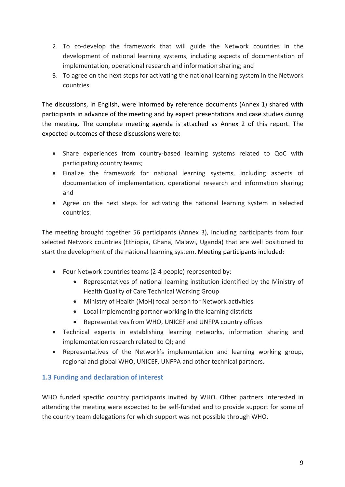- 2. To co-develop the framework that will guide the Network countries in the development of national learning systems, including aspects of documentation of implementation, operational research and information sharing; and
- 3. To agree on the next steps for activating the national learning system in the Network countries.

The discussions, in English, were informed by reference documents (Annex 1) shared with participants in advance of the meeting and by expert presentations and case studies during the meeting. The complete meeting agenda is attached as Annex 2 of this report. The expected outcomes of these discussions were to:

- Share experiences from country-based learning systems related to QoC with participating country teams;
- Finalize the framework for national learning systems, including aspects of documentation of implementation, operational research and information sharing; and
- Agree on the next steps for activating the national learning system in selected countries.

The meeting brought together 56 participants (Annex 3), including participants from four selected Network countries (Ethiopia, Ghana, Malawi, Uganda) that are well positioned to start the development of the national learning system. Meeting participants included:

- Four Network countries teams (2-4 people) represented by:
	- Representatives of national learning institution identified by the Ministry of Health Quality of Care Technical Working Group
	- Ministry of Health (MoH) focal person for Network activities
	- Local implementing partner working in the learning districts
	- Representatives from WHO, UNICEF and UNFPA country offices
- Technical experts in establishing learning networks, information sharing and implementation research related to QI; and
- Representatives of the Network's implementation and learning working group, regional and global WHO, UNICEF, UNFPA and other technical partners.

# **1.3 Funding and declaration of interest**

WHO funded specific country participants invited by WHO. Other partners interested in attending the meeting were expected to be self-funded and to provide support for some of the country team delegations for which support was not possible through WHO.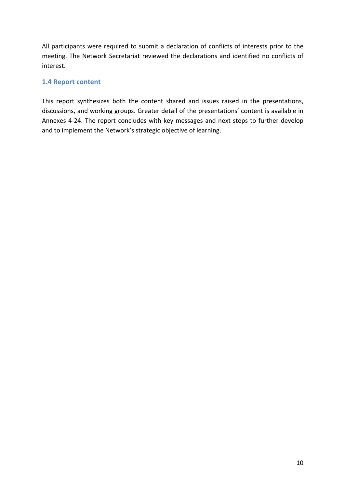All participants were required to submit a declaration of conflicts of interests prior to the meeting. The Network Secretariat reviewed the declarations and identified no conflicts of interest.

## **1.4 Report content**

This report synthesizes both the content shared and issues raised in the presentations, discussions, and working groups. Greater detail of the presentations' content is available in Annexes 4-24. The report concludes with key messages and next steps to further develop and to implement the Network's strategic objective of learning.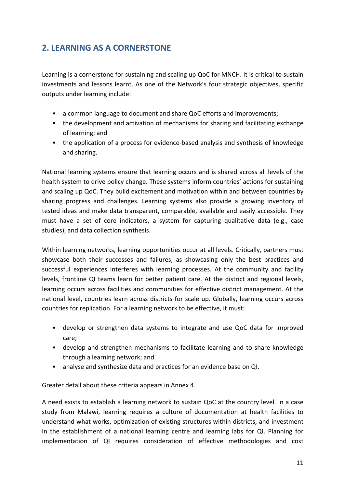# **2. LEARNING AS A CORNERSTONE**

Learning is a cornerstone for sustaining and scaling up QoC for MNCH. It is critical to sustain investments and lessons learnt. As one of the Network's four strategic objectives, specific outputs under learning include:

- a common language to document and share QoC efforts and improvements;
- the development and activation of mechanisms for sharing and facilitating exchange of learning; and
- the application of a process for evidence-based analysis and synthesis of knowledge and sharing.

National learning systems ensure that learning occurs and is shared across all levels of the health system to drive policy change. These systems inform countries' actions for sustaining and scaling up QoC. They build excitement and motivation within and between countries by sharing progress and challenges. Learning systems also provide a growing inventory of tested ideas and make data transparent, comparable, available and easily accessible. They must have a set of core indicators, a system for capturing qualitative data (e.g., case studies), and data collection synthesis.

Within learning networks, learning opportunities occur at all levels. Critically, partners must showcase both their successes and failures, as showcasing only the best practices and successful experiences interferes with learning processes. At the community and facility levels, frontline QI teams learn for better patient care. At the district and regional levels, learning occurs across facilities and communities for effective district management. At the national level, countries learn across districts for scale up. Globally, learning occurs across countries for replication. For a learning network to be effective, it must:

- develop or strengthen data systems to integrate and use QoC data for improved care;
- develop and strengthen mechanisms to facilitate learning and to share knowledge through a learning network; and
- analyse and synthesize data and practices for an evidence base on QI.

Greater detail about these criteria appears in Annex 4.

A need exists to establish a learning network to sustain QoC at the country level. In a case study from Malawi, learning requires a culture of documentation at health facilities to understand what works, optimization of existing structures within districts, and investment in the establishment of a national learning centre and learning labs for QI. Planning for implementation of QI requires consideration of effective methodologies and cost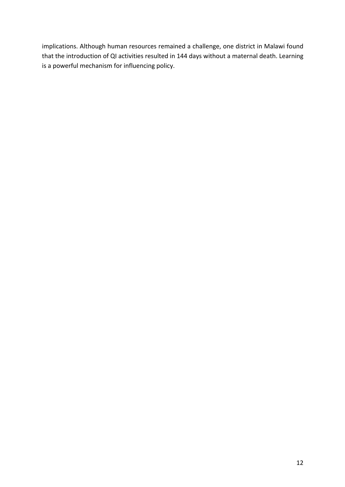implications. Although human resources remained a challenge, one district in Malawi found that the introduction of QI activities resulted in 144 days without a maternal death. Learning is a powerful mechanism for influencing policy.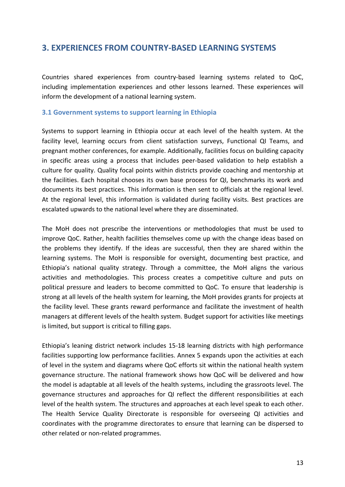# **3. EXPERIENCES FROM COUNTRY-BASED LEARNING SYSTEMS**

Countries shared experiences from country-based learning systems related to QoC, including implementation experiences and other lessons learned. These experiences will inform the development of a national learning system.

## **3.1 Government systems to support learning in Ethiopia**

Systems to support learning in Ethiopia occur at each level of the health system. At the facility level, learning occurs from client satisfaction surveys, Functional QI Teams, and pregnant mother conferences, for example. Additionally, facilities focus on building capacity in specific areas using a process that includes peer-based validation to help establish a culture for quality. Quality focal points within districts provide coaching and mentorship at the facilities. Each hospital chooses its own base process for QI, benchmarks its work and documents its best practices. This information is then sent to officials at the regional level. At the regional level, this information is validated during facility visits. Best practices are escalated upwards to the national level where they are disseminated.

The MoH does not prescribe the interventions or methodologies that must be used to improve QoC. Rather, health facilities themselves come up with the change ideas based on the problems they identify. If the ideas are successful, then they are shared within the learning systems. The MoH is responsible for oversight, documenting best practice, and Ethiopia's national quality strategy. Through a committee, the MoH aligns the various activities and methodologies. This process creates a competitive culture and puts on political pressure and leaders to become committed to QoC. To ensure that leadership is strong at all levels of the health system for learning, the MoH provides grants for projects at the facility level. These grants reward performance and facilitate the investment of health managers at different levels of the health system. Budget support for activities like meetings is limited, but support is critical to filling gaps.

Ethiopia's leaning district network includes 15-18 learning districts with high performance facilities supporting low performance facilities. Annex 5 expands upon the activities at each of level in the system and diagrams where QoC efforts sit within the national health system governance structure. The national framework shows how QoC will be delivered and how the model is adaptable at all levels of the health systems, including the grassroots level. The governance structures and approaches for QI reflect the different responsibilities at each level of the health system. The structures and approaches at each level speak to each other. The Health Service Quality Directorate is responsible for overseeing QI activities and coordinates with the programme directorates to ensure that learning can be dispersed to other related or non-related programmes.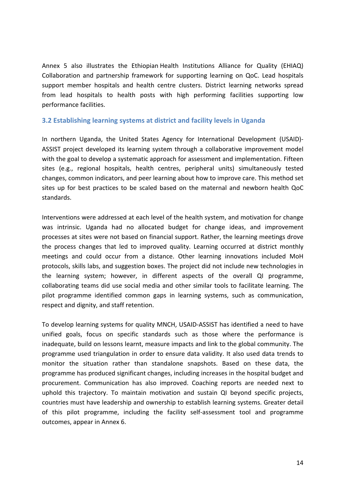Annex 5 also illustrates the Ethiopian Health Institutions Alliance for Quality (EHIAQ) Collaboration and partnership framework for supporting learning on QoC. Lead hospitals support member hospitals and health centre clusters. District learning networks spread from lead hospitals to health posts with high performing facilities supporting low performance facilities.

## **3.2 Establishing learning systems at district and facility levels in Uganda**

In northern Uganda, the United States Agency for International Development (USAID)- ASSIST project developed its learning system through a collaborative improvement model with the goal to develop a systematic approach for assessment and implementation. Fifteen sites (e.g., regional hospitals, health centres, peripheral units) simultaneously tested changes, common indicators, and peer learning about how to improve care. This method set sites up for best practices to be scaled based on the maternal and newborn health QoC standards.

Interventions were addressed at each level of the health system, and motivation for change was intrinsic. Uganda had no allocated budget for change ideas, and improvement processes at sites were not based on financial support. Rather, the learning meetings drove the process changes that led to improved quality. Learning occurred at district monthly meetings and could occur from a distance. Other learning innovations included MoH protocols, skills labs, and suggestion boxes. The project did not include new technologies in the learning system; however, in different aspects of the overall QI programme, collaborating teams did use social media and other similar tools to facilitate learning. The pilot programme identified common gaps in learning systems, such as communication, respect and dignity, and staff retention.

To develop learning systems for quality MNCH, USAID-ASSIST has identified a need to have unified goals, focus on specific standards such as those where the performance is inadequate, build on lessons learnt, measure impacts and link to the global community. The programme used triangulation in order to ensure data validity. It also used data trends to monitor the situation rather than standalone snapshots. Based on these data, the programme has produced significant changes, including increases in the hospital budget and procurement. Communication has also improved. Coaching reports are needed next to uphold this trajectory. To maintain motivation and sustain QI beyond specific projects, countries must have leadership and ownership to establish learning systems. Greater detail of this pilot programme, including the facility self-assessment tool and programme outcomes, appear in Annex 6.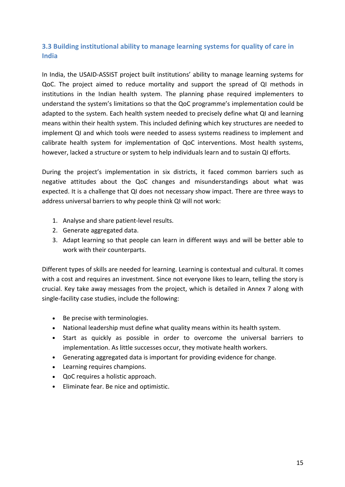# **3.3 Building institutional ability to manage learning systems for quality of care in India**

In India, the USAID-ASSIST project built institutions' ability to manage learning systems for QoC. The project aimed to reduce mortality and support the spread of QI methods in institutions in the Indian health system. The planning phase required implementers to understand the system's limitations so that the QoC programme's implementation could be adapted to the system. Each health system needed to precisely define what QI and learning means within their health system. This included defining which key structures are needed to implement QI and which tools were needed to assess systems readiness to implement and calibrate health system for implementation of QoC interventions. Most health systems, however, lacked a structure or system to help individuals learn and to sustain QI efforts.

During the project's implementation in six districts, it faced common barriers such as negative attitudes about the QoC changes and misunderstandings about what was expected. It is a challenge that QI does not necessary show impact. There are three ways to address universal barriers to why people think QI will not work:

- 1. Analyse and share patient-level results.
- 2. Generate aggregated data.
- 3. Adapt learning so that people can learn in different ways and will be better able to work with their counterparts.

Different types of skills are needed for learning. Learning is contextual and cultural. It comes with a cost and requires an investment. Since not everyone likes to learn, telling the story is crucial. Key take away messages from the project, which is detailed in Annex 7 along with single-facility case studies, include the following:

- Be precise with terminologies.
- National leadership must define what quality means within its health system.
- Start as quickly as possible in order to overcome the universal barriers to implementation. As little successes occur, they motivate health workers.
- Generating aggregated data is important for providing evidence for change.
- Learning requires champions.
- QoC requires a holistic approach.
- Eliminate fear. Be nice and optimistic.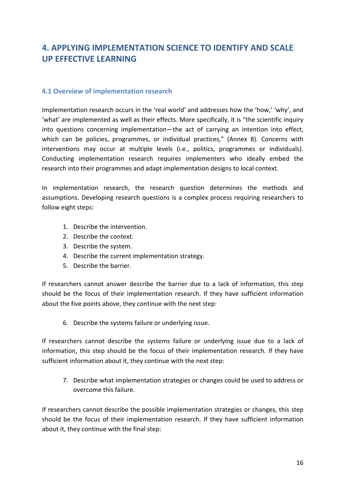# **4. APPLYING IMPLEMENTATION SCIENCE TO IDENTIFY AND SCALE UP EFFECTIVE LEARNING**

## **4.1 Overview of implementation research**

Implementation research occurs in the 'real world' and addresses how the 'how,' 'why', and 'what' are implemented as well as their effects. More specifically, it is "the scientific inquiry into questions concerning implementation—the act of carrying an intention into effect, which can be policies, programmes, or individual practices," (Annex 8). Concerns with interventions may occur at multiple levels (i.e., politics, programmes or individuals). Conducting implementation research requires implementers who ideally embed the research into their programmes and adapt implementation designs to local context.

In implementation research, the research question determines the methods and assumptions. Developing research questions is a complex process requiring researchers to follow eight steps:

- 1. Describe the intervention.
- 2. Describe the context.
- 3. Describe the system.
- 4. Describe the current implementation strategy.
- 5. Describe the barrier.

If researchers cannot answer describe the barrier due to a lack of information, this step should be the focus of their implementation research. If they have sufficient information about the five points above, they continue with the next step:

6. Describe the systems failure or underlying issue.

If researchers cannot describe the systems failure or underlying issue due to a lack of information, this step should be the focus of their implementation research. If they have sufficient information about it, they continue with the next step:

7. Describe what implementation strategies or changes could be used to address or overcome this failure.

If researchers cannot describe the possible implementation strategies or changes, this step should be the focus of their implementation research. If they have sufficient information about it, they continue with the final step: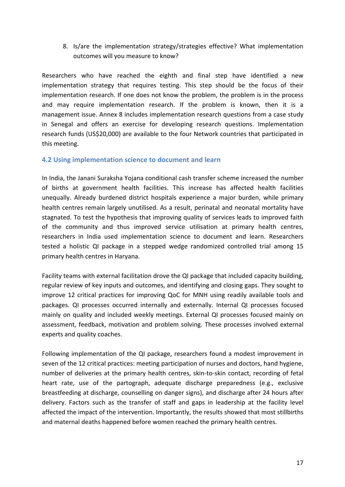8. Is/are the implementation strategy/strategies effective? What implementation outcomes will you measure to know?

Researchers who have reached the eighth and final step have identified a new implementation strategy that requires testing. This step should be the focus of their implementation research. If one does not know the problem, the problem is in the process and may require implementation research. If the problem is known, then it is a management issue. Annex 8 includes implementation research questions from a case study in Senegal and offers an exercise for developing research questions. Implementation research funds (US\$20,000) are available to the four Network countries that participated in this meeting.

## **4.2 Using implementation science to document and learn**

In India, the Janani Suraksha Yojana conditional cash transfer scheme increased the number of births at government health facilities. This increase has affected health facilities unequally. Already burdened district hospitals experience a major burden, while primary health centres remain largely unutilised. As a result, perinatal and neonatal mortality have stagnated. To test the hypothesis that improving quality of services leads to improved faith of the community and thus improved service utilisation at primary health centres, researchers in India used implementation science to document and learn. Researchers tested a holistic QI package in a stepped wedge randomized controlled trial among 15 primary health centres in Haryana.

Facility teams with external facilitation drove the QI package that included capacity building, regular review of key inputs and outcomes, and identifying and closing gaps. They sought to improve 12 critical practices for improving QoC for MNH using readily available tools and packages. QI processes occurred internally and externally. Internal QI processes focused mainly on quality and included weekly meetings. External QI processes focused mainly on assessment, feedback, motivation and problem solving. These processes involved external experts and quality coaches.

Following implementation of the QI package, researchers found a modest improvement in seven of the 12 critical practices: meeting participation of nurses and doctors, hand hygiene, number of deliveries at the primary health centres, skin-to-skin contact, recording of fetal heart rate, use of the partograph, adequate discharge preparedness (e.g., exclusive breastfeeding at discharge, counselling on danger signs), and discharge after 24 hours after delivery. Factors such as the transfer of staff and gaps in leadership at the facility level affected the impact of the intervention. Importantly, the results showed that most stillbirths and maternal deaths happened before women reached the primary health centres.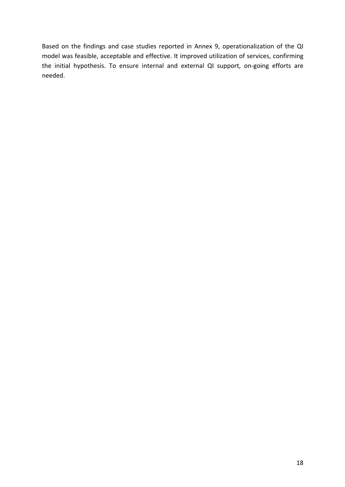Based on the findings and case studies reported in Annex 9, operationalization of the QI model was feasible, acceptable and effective. It improved utilization of services, confirming the initial hypothesis. To ensure internal and external QI support, on-going efforts are needed.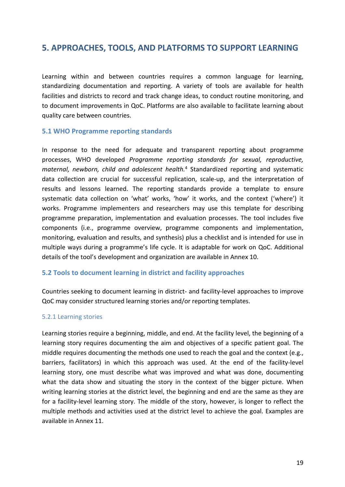# **5. APPROACHES, TOOLS, AND PLATFORMS TO SUPPORT LEARNING**

Learning within and between countries requires a common language for learning, standardizing documentation and reporting. A variety of tools are available for health facilities and districts to record and track change ideas, to conduct routine monitoring, and to document improvements in QoC. Platforms are also available to facilitate learning about quality care between countries.

## **5.1 WHO Programme reporting standards**

In response to the need for adequate and transparent reporting about programme processes, WHO developed *Programme reporting standards for sexual, reproductive, maternal, newborn, child and adolescent health.* <sup>4</sup> Standardized reporting and systematic data collection are crucial for successful replication, scale-up, and the interpretation of results and lessons learned. The reporting standards provide a template to ensure systematic data collection on 'what' works, 'how' it works, and the context ('where') it works. Programme implementers and researchers may use this template for describing programme preparation, implementation and evaluation processes. The tool includes five components (i.e., programme overview, programme components and implementation, monitoring, evaluation and results, and synthesis) plus a checklist and is intended for use in multiple ways during a programme's life cycle. It is adaptable for work on QoC. Additional details of the tool's development and organization are available in Annex 10.

## **5.2 Tools to document learning in district and facility approaches**

Countries seeking to document learning in district- and facility-level approaches to improve QoC may consider structured learning stories and/or reporting templates.

## 5.2.1 Learning stories

Learning stories require a beginning, middle, and end. At the facility level, the beginning of a learning story requires documenting the aim and objectives of a specific patient goal. The middle requires documenting the methods one used to reach the goal and the context (e.g., barriers, facilitators) in which this approach was used. At the end of the facility-level learning story, one must describe what was improved and what was done, documenting what the data show and situating the story in the context of the bigger picture. When writing learning stories at the district level, the beginning and end are the same as they are for a facility-level learning story. The middle of the story, however, is longer to reflect the multiple methods and activities used at the district level to achieve the goal. Examples are available in Annex 11.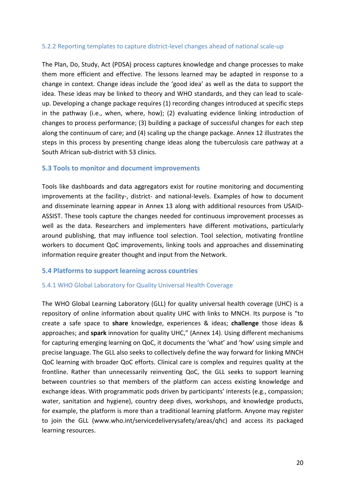## 5.2.2 Reporting templates to capture district-level changes ahead of national scale-up

The Plan, Do, Study, Act (PDSA) process captures knowledge and change processes to make them more efficient and effective. The lessons learned may be adapted in response to a change in context. Change ideas include the 'good idea' as well as the data to support the idea. These ideas may be linked to theory and WHO standards, and they can lead to scaleup. Developing a change package requires (1) recording changes introduced at specific steps in the pathway (i.e., when, where, how); (2) evaluating evidence linking introduction of changes to process performance; (3) building a package of successful changes for each step along the continuum of care; and (4) scaling up the change package. Annex 12 illustrates the steps in this process by presenting change ideas along the tuberculosis care pathway at a South African sub-district with 53 clinics.

## **5.3 Tools to monitor and document improvements**

Tools like dashboards and data aggregators exist for routine monitoring and documenting improvements at the facility-, district- and national-levels. Examples of how to document and disseminate learning appear in Annex 13 along with additional resources from USAID-ASSIST. These tools capture the changes needed for continuous improvement processes as well as the data. Researchers and implementers have different motivations, particularly around publishing, that may influence tool selection. Tool selection, motivating frontline workers to document QoC improvements, linking tools and approaches and disseminating information require greater thought and input from the Network.

#### **5.4 Platforms to support learning across countries**

#### 5.4.1 WHO Global Laboratory for Quality Universal Health Coverage

The WHO Global Learning Laboratory (GLL) for quality universal health coverage (UHC) is a repository of online information about quality UHC with links to MNCH. Its purpose is "to create a safe space to **share** knowledge, experiences & ideas; **challenge** those ideas & approaches; and **spark** innovation for quality UHC," (Annex 14). Using different mechanisms for capturing emerging learning on QoC, it documents the 'what' and 'how' using simple and precise language. The GLL also seeks to collectively define the way forward for linking MNCH QoC learning with broader QoC efforts. Clinical care is complex and requires quality at the frontline. Rather than unnecessarily reinventing QoC, the GLL seeks to support learning between countries so that members of the platform can access existing knowledge and exchange ideas. With programmatic pods driven by participants' interests (e.g., compassion; water, sanitation and hygiene), country deep dives, workshops, and knowledge products, for example, the platform is more than a traditional learning platform. Anyone may register to join the GLL (www.who.int/servicedeliverysafety/areas/qhc) and access its packaged learning resources.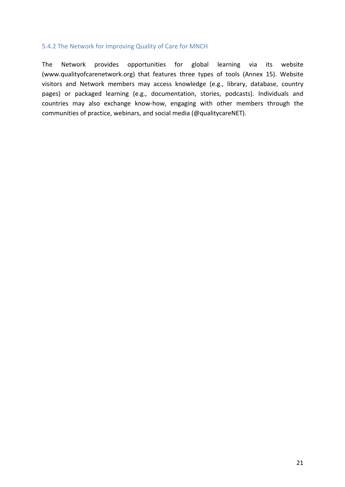## 5.4.2 The Network for Improving Quality of Care for MNCH

The Network provides opportunities for global learning via its website (www.qualityofcarenetwork.org) that features three types of tools (Annex 15). Website visitors and Network members may access knowledge (e.g., library, database, country pages) or packaged learning (e.g., documentation, stories, podcasts). Individuals and countries may also exchange know-how, engaging with other members through the communities of practice, webinars, and social media (@qualitycareNET).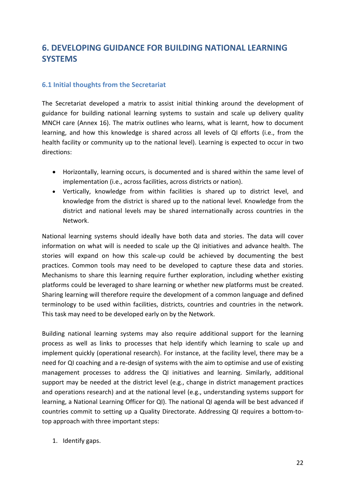# **6. DEVELOPING GUIDANCE FOR BUILDING NATIONAL LEARNING SYSTEMS**

## **6.1 Initial thoughts from the Secretariat**

The Secretariat developed a matrix to assist initial thinking around the development of guidance for building national learning systems to sustain and scale up delivery quality MNCH care (Annex 16). The matrix outlines who learns, what is learnt, how to document learning, and how this knowledge is shared across all levels of QI efforts (i.e., from the health facility or community up to the national level). Learning is expected to occur in two directions:

- Horizontally, learning occurs, is documented and is shared within the same level of implementation (i.e., across facilities, across districts or nation).
- Vertically, knowledge from within facilities is shared up to district level, and knowledge from the district is shared up to the national level. Knowledge from the district and national levels may be shared internationally across countries in the Network.

National learning systems should ideally have both data and stories. The data will cover information on what will is needed to scale up the QI initiatives and advance health. The stories will expand on how this scale-up could be achieved by documenting the best practices. Common tools may need to be developed to capture these data and stories. Mechanisms to share this learning require further exploration, including whether existing platforms could be leveraged to share learning or whether new platforms must be created. Sharing learning will therefore require the development of a common language and defined terminology to be used within facilities, districts, countries and countries in the network. This task may need to be developed early on by the Network.

Building national learning systems may also require additional support for the learning process as well as links to processes that help identify which learning to scale up and implement quickly (operational research). For instance, at the facility level, there may be a need for QI coaching and a re-design of systems with the aim to optimise and use of existing management processes to address the QI initiatives and learning. Similarly, additional support may be needed at the district level (e.g., change in district management practices and operations research) and at the national level (e.g., understanding systems support for learning, a National Learning Officer for QI). The national QI agenda will be best advanced if countries commit to setting up a Quality Directorate. Addressing QI requires a bottom-totop approach with three important steps:

1. Identify gaps.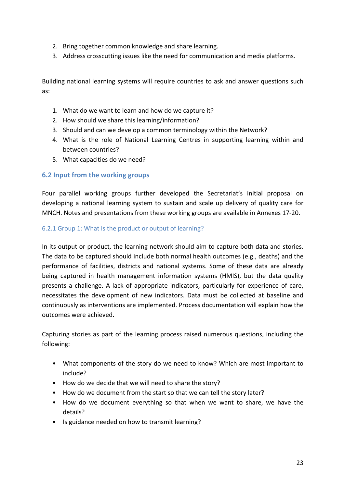- 2. Bring together common knowledge and share learning.
- 3. Address crosscutting issues like the need for communication and media platforms.

Building national learning systems will require countries to ask and answer questions such as:

- 1. What do we want to learn and how do we capture it?
- 2. How should we share this learning/information?
- 3. Should and can we develop a common terminology within the Network?
- 4. What is the role of National Learning Centres in supporting learning within and between countries?
- 5. What capacities do we need?

## **6.2 Input from the working groups**

Four parallel working groups further developed the Secretariat's initial proposal on developing a national learning system to sustain and scale up delivery of quality care for MNCH. Notes and presentations from these working groups are available in Annexes 17-20.

## 6.2.1 Group 1: What is the product or output of learning?

In its output or product, the learning network should aim to capture both data and stories. The data to be captured should include both normal health outcomes (e.g., deaths) and the performance of facilities, districts and national systems. Some of these data are already being captured in health management information systems (HMIS), but the data quality presents a challenge. A lack of appropriate indicators, particularly for experience of care, necessitates the development of new indicators. Data must be collected at baseline and continuously as interventions are implemented. Process documentation will explain how the outcomes were achieved.

Capturing stories as part of the learning process raised numerous questions, including the following:

- What components of the story do we need to know? Which are most important to include?
- How do we decide that we will need to share the story?
- How do we document from the start so that we can tell the story later?
- How do we document everything so that when we want to share, we have the details?
- Is guidance needed on how to transmit learning?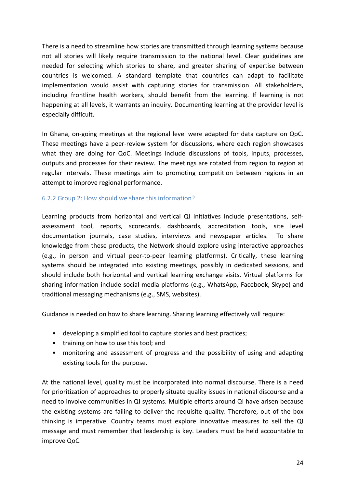There is a need to streamline how stories are transmitted through learning systems because not all stories will likely require transmission to the national level. Clear guidelines are needed for selecting which stories to share, and greater sharing of expertise between countries is welcomed. A standard template that countries can adapt to facilitate implementation would assist with capturing stories for transmission. All stakeholders, including frontline health workers, should benefit from the learning. If learning is not happening at all levels, it warrants an inquiry. Documenting learning at the provider level is especially difficult.

In Ghana, on-going meetings at the regional level were adapted for data capture on QoC. These meetings have a peer-review system for discussions, where each region showcases what they are doing for QoC. Meetings include discussions of tools, inputs, processes, outputs and processes for their review. The meetings are rotated from region to region at regular intervals. These meetings aim to promoting competition between regions in an attempt to improve regional performance.

## 6.2.2 Group 2: How should we share this information?

Learning products from horizontal and vertical QI initiatives include presentations, selfassessment tool, reports, scorecards, dashboards, accreditation tools, site level documentation journals, case studies, interviews and newspaper articles. To share knowledge from these products, the Network should explore using interactive approaches (e.g., in person and virtual peer-to-peer learning platforms). Critically, these learning systems should be integrated into existing meetings, possibly in dedicated sessions, and should include both horizontal and vertical learning exchange visits. Virtual platforms for sharing information include social media platforms (e.g., WhatsApp, Facebook, Skype) and traditional messaging mechanisms (e.g., SMS, websites).

Guidance is needed on how to share learning. Sharing learning effectively will require:

- developing a simplified tool to capture stories and best practices;
- training on how to use this tool; and
- monitoring and assessment of progress and the possibility of using and adapting existing tools for the purpose.

At the national level, quality must be incorporated into normal discourse. There is a need for prioritization of approaches to properly situate quality issues in national discourse and a need to involve communities in QI systems. Multiple efforts around QI have arisen because the existing systems are failing to deliver the requisite quality. Therefore, out of the box thinking is imperative. Country teams must explore innovative measures to sell the QI message and must remember that leadership is key. Leaders must be held accountable to improve QoC.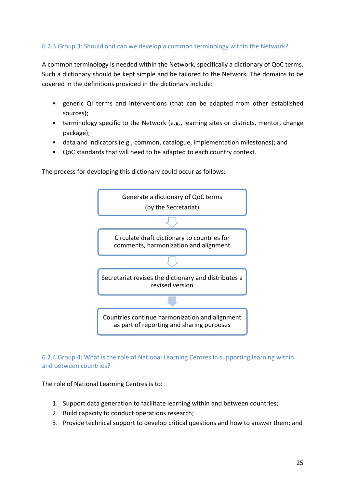# 6.2.3 Group 3: Should and can we develop a common terminology within the Network?

A common terminology is needed within the Network, specifically a dictionary of QoC terms. Such a dictionary should be kept simple and be tailored to the Network. The domains to be covered in the definitions provided in the dictionary include:

- generic QI terms and interventions (that can be adapted from other established sources);
- terminology specific to the Network (e.g., learning sites or districts, mentor, change package);
- data and indicators (e.g., common, catalogue, implementation milestones); and
- QoC standards that will need to be adapted to each country context.

The process for developing this dictionary could occur as follows:



## 6.2.4 Group 4: What is the role of National Learning Centres in supporting learning within and between countries?

The role of National Learning Centres is to:

- 1. Support data generation to facilitate learning within and between countries;
- 2. Build capacity to conduct operations research;
- 3. Provide technical support to develop critical questions and how to answer them; and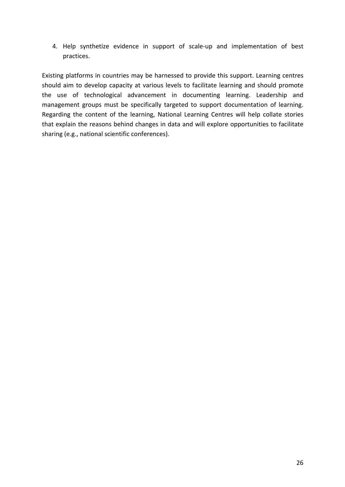4. Help synthetize evidence in support of scale-up and implementation of best practices.

Existing platforms in countries may be harnessed to provide this support. Learning centres should aim to develop capacity at various levels to facilitate learning and should promote the use of technological advancement in documenting learning. Leadership and management groups must be specifically targeted to support documentation of learning. Regarding the content of the learning, National Learning Centres will help collate stories that explain the reasons behind changes in data and will explore opportunities to facilitate sharing (e.g., national scientific conferences).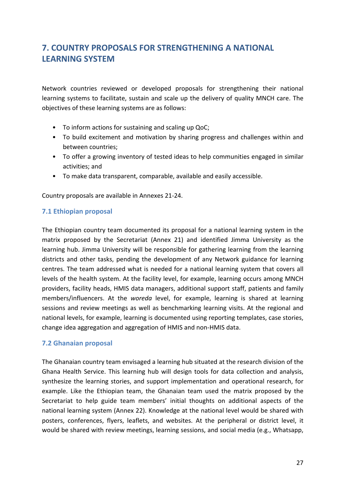# **7. COUNTRY PROPOSALS FOR STRENGTHENING A NATIONAL LEARNING SYSTEM**

Network countries reviewed or developed proposals for strengthening their national learning systems to facilitate, sustain and scale up the delivery of quality MNCH care. The objectives of these learning systems are as follows:

- To inform actions for sustaining and scaling up QoC;
- To build excitement and motivation by sharing progress and challenges within and between countries;
- To offer a growing inventory of tested ideas to help communities engaged in similar activities; and
- To make data transparent, comparable, available and easily accessible.

Country proposals are available in Annexes 21-24.

## **7.1 Ethiopian proposal**

The Ethiopian country team documented its proposal for a national learning system in the matrix proposed by the Secretariat (Annex 21) and identified Jimma University as the learning hub. Jimma University will be responsible for gathering learning from the learning districts and other tasks, pending the development of any Network guidance for learning centres. The team addressed what is needed for a national learning system that covers all levels of the health system. At the facility level, for example, learning occurs among MNCH providers, facility heads, HMIS data managers, additional support staff, patients and family members/influencers. At the *woreda* level, for example, learning is shared at learning sessions and review meetings as well as benchmarking learning visits. At the regional and national levels, for example, learning is documented using reporting templates, case stories, change idea aggregation and aggregation of HMIS and non-HMIS data.

# **7.2 Ghanaian proposal**

The Ghanaian country team envisaged a learning hub situated at the research division of the Ghana Health Service. This learning hub will design tools for data collection and analysis, synthesize the learning stories, and support implementation and operational research, for example. Like the Ethiopian team, the Ghanaian team used the matrix proposed by the Secretariat to help guide team members' initial thoughts on additional aspects of the national learning system (Annex 22). Knowledge at the national level would be shared with posters, conferences, flyers, leaflets, and websites. At the peripheral or district level, it would be shared with review meetings, learning sessions, and social media (e.g., Whatsapp,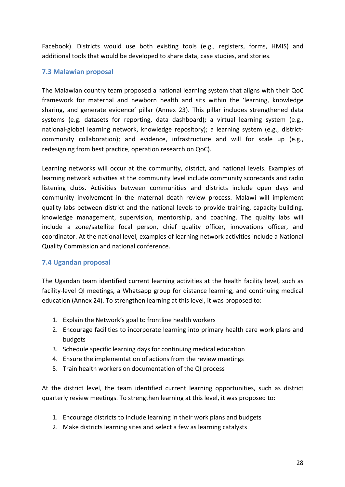Facebook). Districts would use both existing tools (e.g., registers, forms, HMIS) and additional tools that would be developed to share data, case studies, and stories.

## **7.3 Malawian proposal**

The Malawian country team proposed a national learning system that aligns with their QoC framework for maternal and newborn health and sits within the 'learning, knowledge sharing, and generate evidence' pillar (Annex 23). This pillar includes strengthened data systems (e.g. datasets for reporting, data dashboard); a virtual learning system (e.g., national-global learning network, knowledge repository); a learning system (e.g., districtcommunity collaboration); and evidence, infrastructure and will for scale up (e.g., redesigning from best practice, operation research on QoC).

Learning networks will occur at the community, district, and national levels. Examples of learning network activities at the community level include community scorecards and radio listening clubs. Activities between communities and districts include open days and community involvement in the maternal death review process. Malawi will implement quality labs between district and the national levels to provide training, capacity building, knowledge management, supervision, mentorship, and coaching. The quality labs will include a zone/satellite focal person, chief quality officer, innovations officer, and coordinator. At the national level, examples of learning network activities include a National Quality Commission and national conference.

# **7.4 Ugandan proposal**

The Ugandan team identified current learning activities at the health facility level, such as facility-level QI meetings, a Whatsapp group for distance learning, and continuing medical education (Annex 24). To strengthen learning at this level, it was proposed to:

- 1. Explain the Network's goal to frontline health workers
- 2. Encourage facilities to incorporate learning into primary health care work plans and budgets
- 3. Schedule specific learning days for continuing medical education
- 4. Ensure the implementation of actions from the review meetings
- 5. Train health workers on documentation of the QI process

At the district level, the team identified current learning opportunities, such as district quarterly review meetings. To strengthen learning at this level, it was proposed to:

- 1. Encourage districts to include learning in their work plans and budgets
- 2. Make districts learning sites and select a few as learning catalysts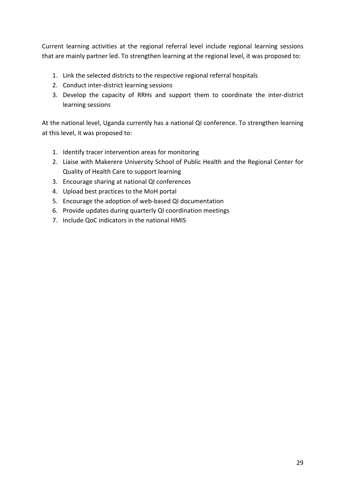Current learning activities at the regional referral level include regional learning sessions that are mainly partner led. To strengthen learning at the regional level, it was proposed to:

- 1. Link the selected districts to the respective regional referral hospitals
- 2. Conduct inter-district learning sessions
- 3. Develop the capacity of RRHs and support them to coordinate the inter-district learning sessions

At the national level, Uganda currently has a national QI conference. To strengthen learning at this level, it was proposed to:

- 1. Identify tracer intervention areas for monitoring
- 2. Liaise with Makerere University School of Public Health and the Regional Center for Quality of Health Care to support learning
- 3. Encourage sharing at national QI conferences
- 4. Upload best practices to the MoH portal
- 5. Encourage the adoption of web-based QI documentation
- 6. Provide updates during quarterly QI coordination meetings
- 7. Include QoC indicators in the national HMIS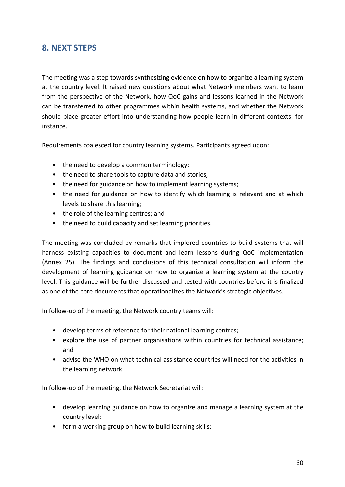# **8. NEXT STEPS**

The meeting was a step towards synthesizing evidence on how to organize a learning system at the country level. It raised new questions about what Network members want to learn from the perspective of the Network, how QoC gains and lessons learned in the Network can be transferred to other programmes within health systems, and whether the Network should place greater effort into understanding how people learn in different contexts, for instance.

Requirements coalesced for country learning systems. Participants agreed upon:

- the need to develop a common terminology;
- the need to share tools to capture data and stories;
- the need for guidance on how to implement learning systems;
- the need for guidance on how to identify which learning is relevant and at which levels to share this learning;
- the role of the learning centres; and
- the need to build capacity and set learning priorities.

The meeting was concluded by remarks that implored countries to build systems that will harness existing capacities to document and learn lessons during QoC implementation (Annex 25). The findings and conclusions of this technical consultation will inform the development of learning guidance on how to organize a learning system at the country level. This guidance will be further discussed and tested with countries before it is finalized as one of the core documents that operationalizes the Network's strategic objectives.

In follow-up of the meeting, the Network country teams will:

- develop terms of reference for their national learning centres;
- explore the use of partner organisations within countries for technical assistance; and
- advise the WHO on what technical assistance countries will need for the activities in the learning network.

In follow-up of the meeting, the Network Secretariat will:

- develop learning guidance on how to organize and manage a learning system at the country level;
- form a working group on how to build learning skills;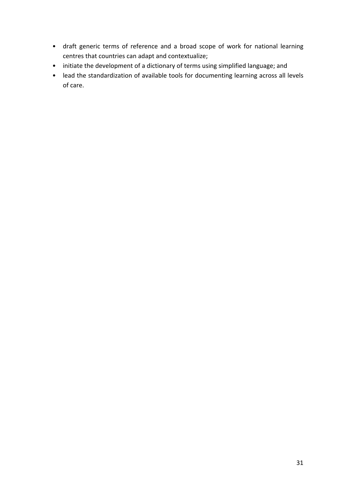- draft generic terms of reference and a broad scope of work for national learning centres that countries can adapt and contextualize;
- initiate the development of a dictionary of terms using simplified language; and
- lead the standardization of available tools for documenting learning across all levels of care.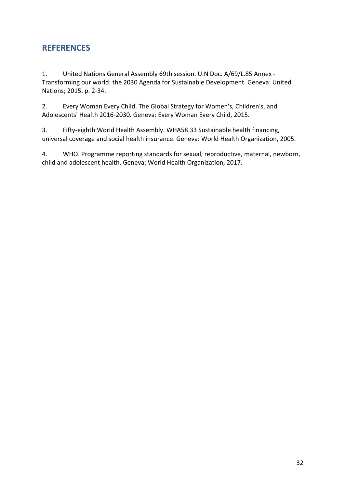# **REFERENCES**

1. United Nations General Assembly 69th session. U.N Doc. A/69/L.85 Annex - Transforming our world: the 2030 Agenda for Sustainable Development. Geneva: United Nations; 2015. p. 2-34.

2. Every Woman Every Child. The Global Strategy for Women's, Children's, and Adolescents' Health 2016-2030. Geneva: Every Woman Every Child, 2015.

3. Fifty-eighth World Health Assembly. WHA58.33 Sustainable health financing, universal coverage and social health insurance. Geneva: World Health Organization, 2005.

4. WHO. Programme reporting standards for sexual, reproductive, maternal, newborn, child and adolescent health. Geneva: World Health Organization, 2017.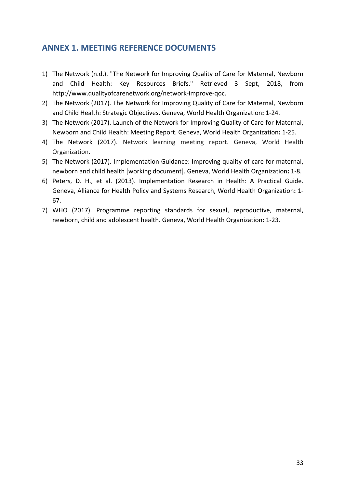# **ANNEX 1. MEETING REFERENCE DOCUMENTS**

- 1) The Network (n.d.). "The Network for Improving Quality of Care for Maternal, Newborn and Child Health: Key Resources Briefs." Retrieved 3 Sept, 2018, from http://www.qualityofcarenetwork.org/network-improve-qoc.
- 2) The Network (2017). The Network for Improving Quality of Care for Maternal, Newborn and Child Health: Strategic Objectives. Geneva, World Health Organization**:** 1-24.
- 3) The Network (2017). Launch of the Network for Improving Quality of Care for Maternal, Newborn and Child Health: Meeting Report. Geneva, World Health Organization**:** 1-25.
- 4) The Network (2017). Network learning meeting report. Geneva, World Health Organization.
- 5) The Network (2017). Implementation Guidance: Improving quality of care for maternal, newborn and child health [working document]. Geneva, World Health Organization**:** 1-8.
- 6) Peters, D. H., et al. (2013). Implementation Research in Health: A Practical Guide. Geneva, Alliance for Health Policy and Systems Research, World Health Organization**:** 1- 67.
- 7) WHO (2017). Programme reporting standards for sexual, reproductive, maternal, newborn, child and adolescent health. Geneva, World Health Organization**:** 1-23.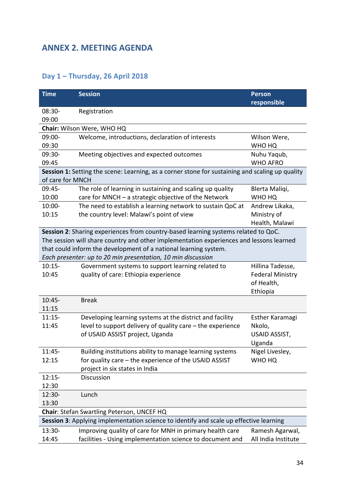# **ANNEX 2. MEETING AGENDA**

# **Day 1 – Thursday, 26 April 2018**

| <b>Time</b>                                                                            | <b>Session</b>                                                                                  | <b>Person</b>           |
|----------------------------------------------------------------------------------------|-------------------------------------------------------------------------------------------------|-------------------------|
|                                                                                        |                                                                                                 | responsible             |
| $08:30-$                                                                               | Registration                                                                                    |                         |
| 09:00                                                                                  |                                                                                                 |                         |
|                                                                                        | Chair: Wilson Were, WHO HQ                                                                      |                         |
| 09:00-                                                                                 | Welcome, introductions, declaration of interests                                                | Wilson Were,            |
| 09:30                                                                                  |                                                                                                 | WHO HQ                  |
| 09:30-                                                                                 | Meeting objectives and expected outcomes                                                        | Nuhu Yaqub,             |
| 09:45                                                                                  |                                                                                                 | <b>WHO AFRO</b>         |
|                                                                                        | Session 1: Setting the scene: Learning, as a corner stone for sustaining and scaling up quality |                         |
| of care for MNCH                                                                       |                                                                                                 |                         |
| 09:45-                                                                                 | The role of learning in sustaining and scaling up quality                                       | Blerta Maliqi,          |
| 10:00                                                                                  | care for MNCH - a strategic objective of the Network                                            | WHO HQ                  |
| $10:00 -$                                                                              | The need to establish a learning network to sustain QoC at                                      | Andrew Likaka,          |
| 10:15                                                                                  | the country level: Malawi's point of view                                                       | Ministry of             |
|                                                                                        |                                                                                                 | Health, Malawi          |
|                                                                                        | Session 2: Sharing experiences from country-based learning systems related to QoC.              |                         |
|                                                                                        | The session will share country and other implementation experiences and lessons learned         |                         |
|                                                                                        | that could inform the development of a national learning system.                                |                         |
|                                                                                        | Each presenter: up to 20 min presentation, 10 min discussion                                    |                         |
| $10:15-$                                                                               | Government systems to support learning related to                                               | Hillina Tadesse,        |
| 10:45                                                                                  | quality of care: Ethiopia experience                                                            | <b>Federal Ministry</b> |
|                                                                                        |                                                                                                 | of Health,              |
|                                                                                        |                                                                                                 | Ethiopia                |
| $10:45 -$                                                                              | <b>Break</b>                                                                                    |                         |
| 11:15                                                                                  |                                                                                                 |                         |
| $11:15-$                                                                               | Developing learning systems at the district and facility                                        | Esther Karamagi         |
| 11:45                                                                                  | level to support delivery of quality care - the experience                                      | Nkolo,                  |
|                                                                                        | of USAID ASSIST project, Uganda                                                                 | USAID ASSIST,           |
|                                                                                        |                                                                                                 | Uganda                  |
| $11:45-$                                                                               | Building institutions ability to manage learning systems                                        | Nigel Livesley,         |
| 12:15                                                                                  | for quality care - the experience of the USAID ASSIST                                           | WHO HQ                  |
|                                                                                        | project in six states in India                                                                  |                         |
| $12:15-$                                                                               | Discussion                                                                                      |                         |
| 12:30                                                                                  |                                                                                                 |                         |
| 12:30-                                                                                 | Lunch                                                                                           |                         |
| 13:30                                                                                  |                                                                                                 |                         |
| Chair: Stefan Swartling Peterson, UNCEF HQ                                             |                                                                                                 |                         |
| Session 3: Applying implementation science to identify and scale up effective learning |                                                                                                 |                         |
| 13:30-                                                                                 | Improving quality of care for MNH in primary health care                                        | Ramesh Agarwal,         |
| 14:45                                                                                  | facilities - Using implementation science to document and                                       | All India Institute     |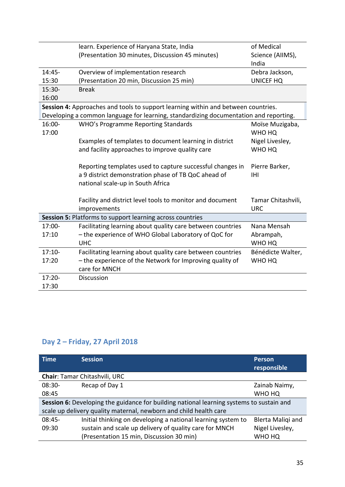|           | learn. Experience of Haryana State, India                                             | of Medical         |
|-----------|---------------------------------------------------------------------------------------|--------------------|
|           | (Presentation 30 minutes, Discussion 45 minutes)                                      | Science (AlIMS),   |
|           |                                                                                       | India              |
| 14:45-    | Overview of implementation research                                                   | Debra Jackson,     |
| 15:30     | (Presentation 20 min, Discussion 25 min)                                              | <b>UNICEF HQ</b>   |
| 15:30-    | <b>Break</b>                                                                          |                    |
| 16:00     |                                                                                       |                    |
|           | Session 4: Approaches and tools to support learning within and between countries.     |                    |
|           | Developing a common language for learning, standardizing documentation and reporting. |                    |
| 16:00-    | WHO's Programme Reporting Standards                                                   | Moïse Muzigaba,    |
| 17:00     |                                                                                       | WHO HQ             |
|           | Examples of templates to document learning in district                                | Nigel Livesley,    |
|           | and facility approaches to improve quality care                                       | WHO HQ             |
|           |                                                                                       |                    |
|           | Reporting templates used to capture successful changes in                             | Pierre Barker,     |
|           | a 9 district demonstration phase of TB QoC ahead of                                   | IHI                |
|           | national scale-up in South Africa                                                     |                    |
|           | Facility and district level tools to monitor and document                             | Tamar Chitashvili, |
|           | improvements                                                                          | <b>URC</b>         |
|           | Session 5: Platforms to support learning across countries                             |                    |
| 17:00-    | Facilitating learning about quality care between countries                            | Nana Mensah        |
| 17:10     | - the experience of WHO Global Laboratory of QoC for                                  | Abrampah,          |
|           | <b>UHC</b>                                                                            | WHO HQ             |
| $17:10-$  | Facilitating learning about quality care between countries                            | Bénédicte Walter,  |
| 17:20     | - the experience of the Network for Improving quality of                              | WHO HQ             |
|           | care for MNCH                                                                         |                    |
| $17:20 -$ | Discussion                                                                            |                    |
| 17:30     |                                                                                       |                    |

# **Day 2 – Friday, 27 April 2018**

| <b>Time</b>                                                                              | <b>Session</b>                                               | <b>Person</b><br>responsible |  |
|------------------------------------------------------------------------------------------|--------------------------------------------------------------|------------------------------|--|
| Chair: Tamar Chitashvili, URC                                                            |                                                              |                              |  |
| $08:30-$                                                                                 | Recap of Day 1                                               | Zainab Naimy,                |  |
| 08:45                                                                                    |                                                              | WHO HQ                       |  |
| Session 6: Developing the guidance for building national learning systems to sustain and |                                                              |                              |  |
| scale up delivery quality maternal, newborn and child health care                        |                                                              |                              |  |
| $08:45-$                                                                                 | Initial thinking on developing a national learning system to | Blerta Maliqi and            |  |
| 09:30                                                                                    | sustain and scale up delivery of quality care for MNCH       | Nigel Livesley,              |  |
|                                                                                          | (Presentation 15 min, Discussion 30 min)                     | WHO HQ                       |  |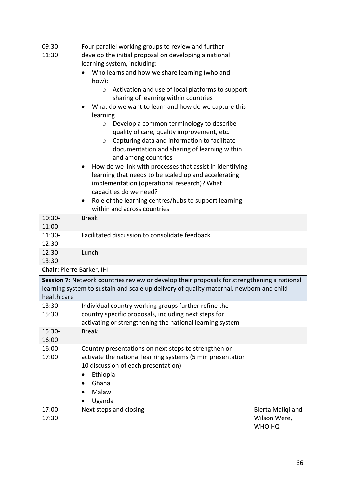| 09:30-                           | Four parallel working groups to review and further                                          |                   |  |
|----------------------------------|---------------------------------------------------------------------------------------------|-------------------|--|
| 11:30                            | develop the initial proposal on developing a national                                       |                   |  |
|                                  | learning system, including:                                                                 |                   |  |
|                                  | Who learns and how we share learning (who and                                               |                   |  |
|                                  | how):                                                                                       |                   |  |
|                                  | Activation and use of local platforms to support<br>$\circ$                                 |                   |  |
|                                  | sharing of learning within countries                                                        |                   |  |
|                                  | What do we want to learn and how do we capture this                                         |                   |  |
|                                  | learning                                                                                    |                   |  |
|                                  | Develop a common terminology to describe<br>$\circ$                                         |                   |  |
|                                  | quality of care, quality improvement, etc.                                                  |                   |  |
|                                  | Capturing data and information to facilitate<br>$\circ$                                     |                   |  |
|                                  | documentation and sharing of learning within                                                |                   |  |
|                                  | and among countries                                                                         |                   |  |
|                                  | How do we link with processes that assist in identifying                                    |                   |  |
|                                  | learning that needs to be scaled up and accelerating                                        |                   |  |
|                                  | implementation (operational research)? What                                                 |                   |  |
|                                  | capacities do we need?                                                                      |                   |  |
|                                  | Role of the learning centres/hubs to support learning                                       |                   |  |
|                                  | within and across countries                                                                 |                   |  |
| 10:30-                           | <b>Break</b>                                                                                |                   |  |
| 11:00                            |                                                                                             |                   |  |
| $11:30-$                         | Facilitated discussion to consolidate feedback                                              |                   |  |
| 12:30                            |                                                                                             |                   |  |
| 12:30-                           | Lunch                                                                                       |                   |  |
| 13:30                            |                                                                                             |                   |  |
| <b>Chair: Pierre Barker, IHI</b> |                                                                                             |                   |  |
|                                  | Session 7: Network countries review or develop their proposals for strengthening a national |                   |  |
|                                  | learning system to sustain and scale up delivery of quality maternal, newborn and child     |                   |  |
| health care                      |                                                                                             |                   |  |
| 13:30-                           | Individual country working groups further refine the                                        |                   |  |
| 15:30                            | country specific proposals, including next steps for                                        |                   |  |
|                                  | activating or strengthening the national learning system                                    |                   |  |
| 15:30-                           | <b>Break</b>                                                                                |                   |  |
| 16:00                            |                                                                                             |                   |  |
| 16:00-                           | Country presentations on next steps to strengthen or                                        |                   |  |
| 17:00                            | activate the national learning systems (5 min presentation                                  |                   |  |
|                                  | 10 discussion of each presentation)                                                         |                   |  |
|                                  | Ethiopia<br>$\bullet$                                                                       |                   |  |
|                                  | Ghana                                                                                       |                   |  |
|                                  | Malawi                                                                                      |                   |  |
|                                  | Uganda                                                                                      |                   |  |
| 17:00-                           | Next steps and closing                                                                      | Blerta Maliqi and |  |
| 17:30                            |                                                                                             | Wilson Were,      |  |
|                                  |                                                                                             | WHO HQ            |  |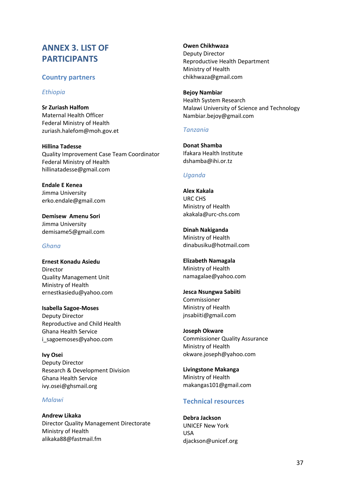# **ANNEX 3. LIST OF PARTICIPANTS**

## **Country partners**

#### *Ethiopia*

**Sr Zuriash Halfom** Maternal Health Officer Federal Ministry of Health zuriash.halefom@moh.gov.et

**Hillina Tadesse** Quality Improvement Case Team Coordinator Federal Ministry of Health hillinatadesse@gmail.com

**Endale E Kenea** Jimma University erko.endale@gmail.com

**Demisew Amenu Sori** Jimma University demisame5@gmail.com

#### *Ghana*

**Ernest Konadu Asiedu** Director Quality Management Unit Ministry of Health ernestkasiedu@yahoo.com

**Isabella Sagoe-Moses** Deputy Director Reproductive and Child Health Ghana Health Service i\_sagoemoses@yahoo.com

**Ivy Osei** Deputy Director Research & Development Division Ghana Health Service ivy.osei@ghsmail.org

#### *Malawi*

**Andrew Likaka** Director Quality Management Directorate Ministry of Health alikaka88@fastmail.fm

**Owen Chikhwaza** Deputy Director Reproductive Health Department Ministry of Health chikhwaza@gmail.com

**Bejoy Nambiar** Health System Research Malawi University of Science and Technology Nambiar.bejoy@gmail.com

## *Tanzania*

**Donat Shamba** Ifakara Health Institute dshamba@ihi.or.tz

## *Uganda*

**Alex Kakala** URC CHS Ministry of Health akakala@urc-chs.com

**Dinah Nakiganda** Ministry of Health dinabusiku@hotmail.com

**Elizabeth Namagala** Ministry of Health namagalae@yahoo.com

**Jesca Nsungwa Sabiiti** Commissioner Ministry of Health jnsabiiti@gmail.com

**Joseph Okware** Commissioner Quality Assurance Ministry of Health okware.joseph@yahoo.com

**Livingstone Makanga** Ministry of Health makangas101@gmail.com

# **Technical resources**

**Debra Jackson** UNICEF New York USA djackson@unicef.org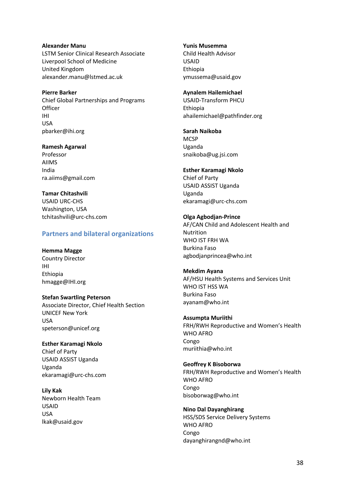**Alexander Manu** LSTM Senior Clinical Research Associate Liverpool School of Medicine United Kingdom alexander.manu@lstmed.ac.uk

**Pierre Barker** Chief Global Partnerships and Programs **Officer** IHI USA pbarker@ihi.org

**Ramesh Agarwal** Professor AIIMS India ra.aiims@gmail.com

**Tamar Chitashvili** USAID URC-CHS Washington, USA tchitashvili@urc-chs.com

#### **Partners and bilateral organizations**

**Hemma Magge** Country Director IHI Ethiopia hmagge@IHI.org

**Stefan Swartling Peterson** Associate Director, Chief Health Section UNICEF New York USA speterson@unicef.org

**Esther Karamagi Nkolo**  Chief of Party USAID ASSIST Uganda Uganda ekaramagi@urc-chs.com

**Lily Kak** Newborn Health Team USAID USA lkak@usaid.gov

**Yunis Musemma**

Child Health Advisor USAID Ethiopia ymussema@usaid.gov

**Aynalem Hailemichael** USAID-Transform PHCU Ethiopia ahailemichael@pathfinder.org

**Sarah Naikoba MCSP** Uganda snaikoba@ug.jsi.com

**Esther Karamagi Nkolo**  Chief of Party USAID ASSIST Uganda Uganda ekaramagi@urc-chs.com

**Olga Agbodjan-Prince** AF/CAN Child and Adolescent Health and Nutrition WHO IST FRH WA Burkina Faso agbodjanprincea@who.int

**Mekdim Ayana** AF/HSU Health Systems and Services Unit WHO IST HSS WA Burkina Faso ayanam@who.int

**Assumpta Muriithi** FRH/RWH Reproductive and Women's Health WHO AFRO Congo muriithia@who.int

**Geoffrey K Bisoborwa** FRH/RWH Reproductive and Women's Health WHO AFRO Congo bisoborwag@who.int

**Nino Dal Dayanghirang** HSS/SDS Service Delivery Systems WHO AFRO Congo dayanghirangnd@who.int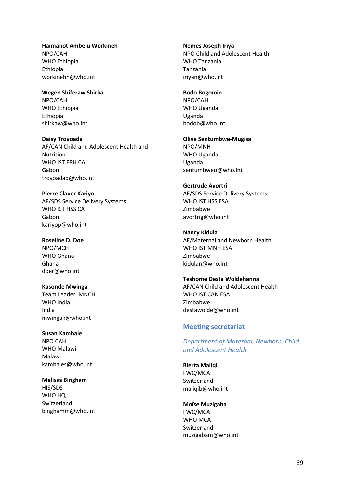#### **Haimanot Ambelu Workineh** NPO/CAH WHO Ethiopia Ethiopia workinehh@who.int

**Wegen Shiferaw Shirka** NPO/CAH WHO Ethiopia Ethiopia shirkaw@who.int

**Daisy Trovoada** AF/CAN Child and Adolescent Health and Nutrition WHO IST FRH CA Gabon trovoadad@who.int

**Pierre Claver Kariyo** AF/SDS Service Delivery Systems WHO IST HSS CA Gabon kariyop@who.int

**Roseline D. Doe** NPO/MCH WHO Ghana Ghana doer@who.int

**Kasonde Mwinga** Team Leader, MNCH WHO India India mwingak@who.int

**Susan Kambale** NPO CAH WHO Malawi Malawi kambales@who.int

**Melissa Bingham** HIS/SDS WHO HQ Switzerland binghamm@who.int **Nemes Joseph Iriya** NPO Child and Adolescent Health WHO Tanzania Tanzania iriyan@who.int

#### **Bodo Bogomin**

NPO/CAH WHO Uganda Uganda bodob@who.int

**Olive Sentumbwe-Mugisa** NPO/MNH WHO Uganda Uganda sentumbweo@who.int

#### **Gertrude Avortri**

AF/SDS Service Delivery Systems WHO IST HSS ESA Zimbabwe avortrig@who.int

#### **Nancy Kidula**

AF/Maternal and Newborn Health WHO IST MNH ESA Zimbabwe kidulan@who.int

#### **Teshome Desta Woldehanna**

AF/CAN Child and Adolescent Health WHO IST CAN ESA Zimbabwe destawolde@who.int

#### **Meeting secretariat**

*Department of Maternal, Newborn, Child and Adolescent Health* 

**Blerta Maliqi** FWC/MCA Switzerland maliqib@who.int

#### **Moïse Muzigaba**

FWC/MCA WHO MCA Switzerland muzigabam@who.int